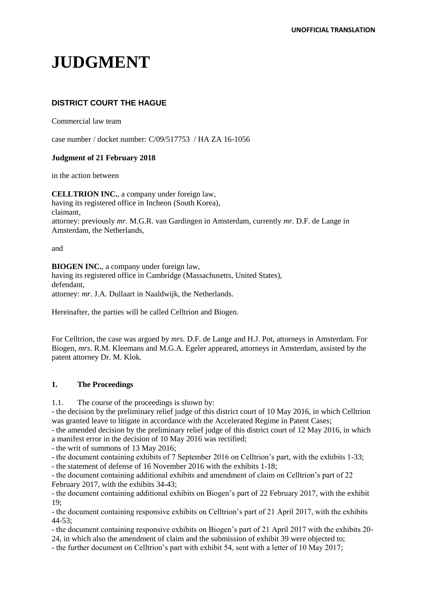# **JUDGMENT**

## **DISTRICT COURT THE HAGUE**

Commercial law team

case number / docket number: C/09/517753 / HA ZA 16-1056

## **Judgment of 21 February 2018**

in the action between

**CELLTRION INC.**, a company under foreign law, having its registered office in Incheon (South Korea), claimant, attorney: previously *mr.* M.G.R. van Gardingen in Amsterdam, currently *mr.* D.F. de Lange in Amsterdam, the Netherlands,

and

**BIOGEN INC.**, a company under foreign law,

having its registered office in Cambridge (Massachusetts, United States), defendant, attorney: *mr*. J.A. Dullaart in Naaldwijk, the Netherlands.

Hereinafter, the parties will be called Celltrion and Biogen.

For Celltrion, the case was argued by *mrs.* D.F. de Lange and H.J. Pot, attorneys in Amsterdam. For Biogen, *mrs*. R.M. Kleemans and M.G.A. Egeler appeared, attorneys in Amsterdam, assisted by the patent attorney Dr. M. Klok.

## **1. The Proceedings**

1.1. The course of the proceedings is shown by:

- the decision by the preliminary relief judge of this district court of 10 May 2016, in which Celltrion was granted leave to litigate in accordance with the Accelerated Regime in Patent Cases;

- the amended decision by the preliminary relief judge of this district court of 12 May 2016, in which a manifest error in the decision of 10 May 2016 was rectified;

- the writ of summons of 13 May 2016;

- the document containing exhibits of 7 September 2016 on Celltrion's part, with the exhibits 1-33;

- the statement of defense of 16 November 2016 with the exhibits 1-18;

- the document containing additional exhibits and amendment of claim on Celltrion's part of 22 February 2017, with the exhibits 34-43;

- the document containing additional exhibits on Biogen's part of 22 February 2017, with the exhibit 19;

- the document containing responsive exhibits on Celltrion's part of 21 April 2017, with the exhibits 44-53;

- the document containing responsive exhibits on Biogen's part of 21 April 2017 with the exhibits 20- 24, in which also the amendment of claim and the submission of exhibit 39 were objected to;

- the further document on Celltrion's part with exhibit 54, sent with a letter of 10 May 2017;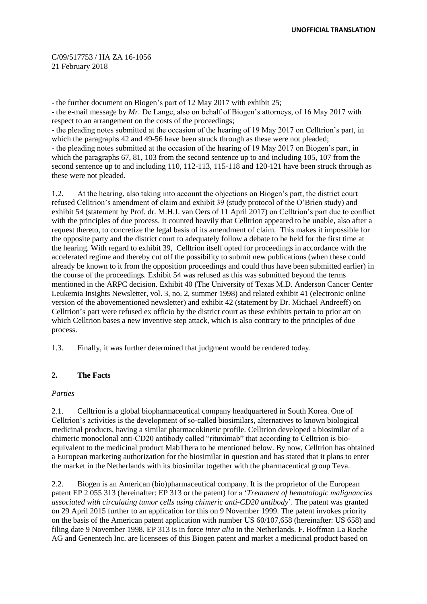- the further document on Biogen's part of 12 May 2017 with exhibit 25; - the e-mail message by *Mr.* De Lange, also on behalf of Biogen's attorneys, of 16 May 2017 with

respect to an arrangement on the costs of the proceedings; - the pleading notes submitted at the occasion of the hearing of 19 May 2017 on Celltrion's part, in which the paragraphs 42 and 49-56 have been struck through as these were not pleaded; - the pleading notes submitted at the occasion of the hearing of 19 May 2017 on Biogen's part, in which the paragraphs 67, 81, 103 from the second sentence up to and including 105, 107 from the second sentence up to and including 110, 112-113, 115-118 and 120-121 have been struck through as these were not pleaded.

1.2. At the hearing, also taking into account the objections on Biogen's part, the district court refused Celltrion's amendment of claim and exhibit 39 (study protocol of the O'Brien study) and exhibit 54 (statement by Prof. dr. M.H.J. van Oers of 11 April 2017) on Celltrion's part due to conflict with the principles of due process. It counted heavily that Celltrion appeared to be unable, also after a request thereto, to concretize the legal basis of its amendment of claim. This makes it impossible for the opposite party and the district court to adequately follow a debate to be held for the first time at the hearing. With regard to exhibit 39, Celltrion itself opted for proceedings in accordance with the accelerated regime and thereby cut off the possibility to submit new publications (when these could already be known to it from the opposition proceedings and could thus have been submitted earlier) in the course of the proceedings. Exhibit 54 was refused as this was submitted beyond the terms mentioned in the ARPC decision. Exhibit 40 (The University of Texas M.D. Anderson Cancer Center Leukemia Insights Newsletter, vol. 3, no. 2, summer 1998) and related exhibit 41 (electronic online version of the abovementioned newsletter) and exhibit 42 (statement by Dr. Michael Andreeff) on Celltrion's part were refused ex officio by the district court as these exhibits pertain to prior art on which Celltrion bases a new inventive step attack, which is also contrary to the principles of due process.

1.3. Finally, it was further determined that judgment would be rendered today.

## **2. The Facts**

## *Parties*

2.1. Celltrion is a global biopharmaceutical company headquartered in South Korea. One of Celltrion's activities is the development of so-called biosimilars, alternatives to known biological medicinal products, having a similar pharmacokinetic profile. Celltrion developed a biosimilar of a chimeric monoclonal anti-CD20 antibody called "rituximab" that according to Celltrion is bioequivalent to the medicinal product MabThera to be mentioned below. By now, Celltrion has obtained a European marketing authorization for the biosimilar in question and has stated that it plans to enter the market in the Netherlands with its biosimilar together with the pharmaceutical group Teva.

2.2. Biogen is an American (bio)pharmaceutical company. It is the proprietor of the European patent EP 2 055 313 (hereinafter: EP 313 or the patent) for a '*Treatment of hematologic malignancies associated with circulating tumor cells using chimeric anti-CD20 antibody*'. The patent was granted on 29 April 2015 further to an application for this on 9 November 1999. The patent invokes priority on the basis of the American patent application with number US 60/107,658 (hereinafter: US 658) and filing date 9 November 1998. EP 313 is in force *inter alia* in the Netherlands. F. Hoffman La Roche AG and Genentech Inc. are licensees of this Biogen patent and market a medicinal product based on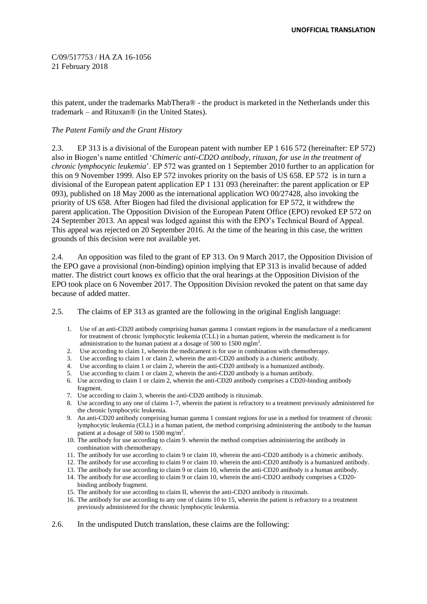this patent, under the trademarks MabThera® - the product is marketed in the Netherlands under this trademark – and Rituxan® (in the United States).

## *The Patent Family and the Grant History*

2.3. EP 313 is a divisional of the European patent with number EP 1 616 572 (hereinafter: EP 572) also in Biogen's name entitled '*Chimeric anti-CD2O antibody, rituxan, for use in the treatment of chronic lymphocytic leukemia*'. EP 572 was granted on 1 September 2010 further to an application for this on 9 November 1999. Also EP 572 invokes priority on the basis of US 658. EP 572 is in turn a divisional of the European patent application EP 1 131 093 (hereinafter: the parent application or EP 093), published on 18 May 2000 as the international application WO 00/27428, also invoking the priority of US 658. After Biogen had filed the divisional application for EP 572, it withdrew the parent application. The Opposition Division of the European Patent Office (EPO) revoked EP 572 on 24 September 2013. An appeal was lodged against this with the EPO's Technical Board of Appeal. This appeal was rejected on 20 September 2016. At the time of the hearing in this case, the written grounds of this decision were not available yet.

2.4. An opposition was filed to the grant of EP 313. On 9 March 2017, the Opposition Division of the EPO gave a provisional (non-binding) opinion implying that EP 313 is invalid because of added matter. The district court knows ex officio that the oral hearings at the Opposition Division of the EPO took place on 6 November 2017. The Opposition Division revoked the patent on that same day because of added matter.

2.5. The claims of EP 313 as granted are the following in the original English language:

- 1. Use of an anti-CD20 antibody comprising human gamma 1 constant regions in the manufacture of a medicament for treatment of chronic lymphocytic leukemia (CLL) in a human patient, wherein the medicament is for administration to the human patient at a dosage of 500 to 1500 mglm<sup>2</sup>.
- 
- 2. Use according to claim 1, wherein the medicament is for use in combination with chemotherapy.<br>
3. Use according to claim 1 or claim 2, wherein the anti-CD20 antibody is a chimeric antibody.<br>
4. Use according to claim 1 Use according to claim 1 or claim 2, wherein the anti-CD20 antibody is a chimeric antibody.
- Use according to claim 1 or claim 2, wherein the anti-CD20 antibody is a humanized antibody.
- 5. Use according to claim 1 or claim 2, wherein the anti-CD20 antibody is a human antibody.
- 6. Use according to claim 1 or claim 2, wherein the anti-CD20 antibody comprises a CD20-binding antibody fragment.
- 7. Use according to claim 3, wherein the anti-CD20 antibody is rituximab.
- 8. Use according to any one of claims 1-7, wherein the patient is refractory to a treatment previously administered for the chronic lymphocytic leukemia.
- 9. An anti-CD20 antibody comprising human gamma 1 constant regions for use in a method for treatment of chronic lymphocytic leukemia (CLL) in a human patient, the method comprising administering the antibody to the human patient at a dosage of 500 to 1500 mg/m<sup>2</sup>.
- 10. The antibody for use according to claim 9. wherein the method comprises administering the antibody in combination with chemotherapy.
- 11. The antibody for use according to claim 9 or claim 10, wherein the anti-CD20 antibody is a chimeric antibody.
- 12. The antibody for use according to claim 9 or claim 10. wherein the anti-CD20 antibody is a humanized antibody.
- 13. The antibody for use according to claim 9 or claim 10, wherein the anti-CD20 antibody is a human antibody.
- 14. The antibody for use according to claim 9 or claim 10, wherein the anti-CD2O antibody comprises a CD20 binding antibody fragment.
- 15. The antibody for use according to claim II, wherein the anti-CD2O antibody is rituximab.
- 16. The antibody for use according to any one of claims 10 to 15, wherein the patient is refractory to a treatment previously administered for the chronic lymphocytic leukemia.
- 2.6. In the undisputed Dutch translation, these claims are the following: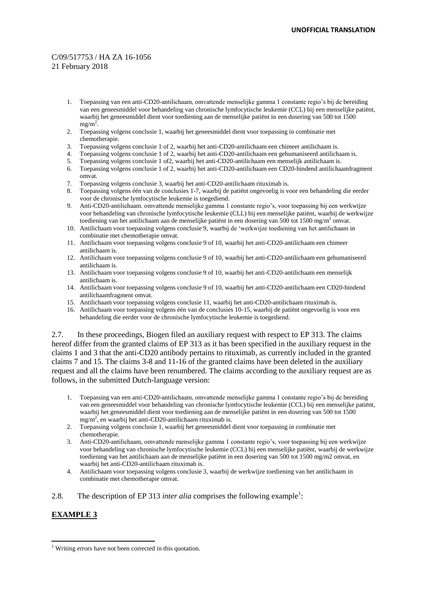- 1. Toepassing van een anti-CD20-antilichaam, omvattende menselijke gamma 1 constante regio's bij de bereiding van een geneesmiddel voor behandeling van chronische lymfocytische leukemie (CCL) bij een menselijke patiënt, waarbij het geneesmiddel dient voor toediening aan de menselijke patiënt in een dosering van 500 tot 1500  $mg/m<sup>2</sup>$ .
- 2. Toepassing volgens conclusie 1, waarbij het geneesmiddel dient voor toepassing in combinatie met chemotherapie.
- 3. Toepassing volgens conclusie 1 of 2, waarbij het anti-CD20-antilichaam een chimeer antilichaam is.
- 4. Toepassing volgens conclusie 1 of 2, waarbij het anti-CD20-antilichaam een gehumaniseerd antilichaam is.<br>5. Toepassing volgens conclusie 1 of 2, waarbij het anti-CD20-antilichaam een menselijk antilichaam is.
- 5. Toepassing volgens conclusie 1 of2, waarbij het anti-CD20-antilichaam een menselijk antilichaam is.
- 6. Toepassing volgens conclusie 1 of 2, waarbij het anti-CD20-antilichaam een CD20-bindend antilichaamfragment omvat.
- 7. Toepassing volgens conclusie 3, waarbij het anti-CD20-antilichaam rituximab is.
- 8. Toepassing volgens één van de conclusies 1-7, waarbij de patiënt ongevoelig is voor een behandeling die eerder voor de chronische lymfocytische leukemie is toegediend.
- 9. Anti-CD20-antilichaam. omvattende menselijke gamma 1 constante regio's, voor toepassing bij een werkwijze voor behandeling van chronische lymfocytische leukemie (CLL) bij een menselijke patiënt, waarbij de werkwijze toediening van het antilichaam aan de menselijke patiënt in een dosering van 500 tot 1500 mg/m<sup>2</sup> omvat.
- 10. Antilichaam voor toepassing volgens conclusie 9, waarbij de 'werkwijze toediening van het antilichaam in combinatie met chemotherapie omvat.
- 11. Antilichaam voor toepassing volgens conclusie 9 of 10, waarbij het anti-CD20-antilichaam een chimeer antilichaam is.
- 12. Antilichaam voor toepassing volgens conclusie 9 of 10, waarbij het anti-CD20-antilichaam een gehumaniseerd antilichaam is.
- 13. Antilichaam voor toepassing volgens conclusie 9 of 10, waarbij het anti-CD20-antilichaam een menselijk antilichaam is.
- 14. Antilichaam voor toepassing volgens conclusie 9 of 10, waarbij het anti-CD20-antilichaam een CD20-bindend antilichaamfragment omvat.
- 15. Antilichaam voor toepassing volgens conclusie 11, waarbij het anti-CD20-antilichaam rituximab is.
- 16. Antilichaam voor toepassing volgens één van de conclusies 10-15, waarbij de patiënt ongevoelig is voor een behandeling die eerder voor de chronische lymfocytische leukemie is toegediend.

2.7. In these proceedings, Biogen filed an auxiliary request with respect to EP 313. The claims hereof differ from the granted claims of EP 313 as it has been specified in the auxiliary request in the claims 1 and 3 that the anti-CD20 antibody pertains to rituximab, as currently included in the granted claims 7 and 15. The claims 3-8 and 11-16 of the granted claims have been deleted in the auxiliary request and all the claims have been renumbered. The claims according to the auxiliary request are as follows, in the submitted Dutch-language version:

- 1. Toepassing van een anti-CD20-antilichaam, omvattende menselijke gamma 1 constante regio's bij de bereiding van een geneesmiddel voor behandeling van chronische lymfocytische leukemie (CCL) bij een menselijke patiënt, waarbij het geneesmiddel dient voor toediening aan de menselijke patiënt in een dosering van 500 tot 1500 mg/m<sup>2</sup>, en waarbij het anti-CD20-antilichaam rituximab is.
- 2. Toepassing volgens conclusie 1, waarbij het geneesmiddel dient voor toepassing in combinatie met chemotherapie.
- 3. Anti-CD20-antilichaam, omvattende menselijke gamma 1 constante regio's, voor toepassing bij een werkwijze voor behandeling van chronische lymfocytische leukemie (CCL) bij een menselijke patiënt, waarbij de werkwijze toediening van het antilichaam aan de menselijke patiënt in een dosering van 500 tot 1500 mg/m2 omvat, en waarbij het anti-CD20-antilichaam rituximab is.
- 4. Antilichaam voor toepassing volgens conclusie 3, waarbij de werkwijze toediening van het antilichaam in combinatie met chemotherapie omvat.
- 2.8. The description of EP 313 *inter alia* comprises the following example<sup>1</sup>:

## **EXAMPLE 3**

<sup>&</sup>lt;sup>1</sup> Writing errors have not been corrected in this quotation.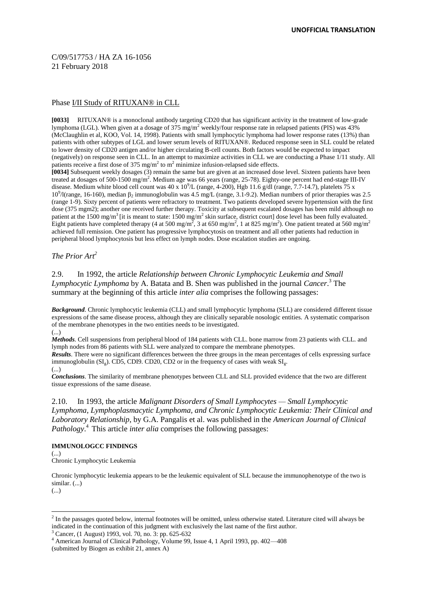## Phase I/II Study of RITUXAN® in CLL

**[0033]** RITUXAN® is a monoclonal antibody targeting CD20 that has significant activity in the treatment of low-grade lymphoma (LGL). When given at a dosage of  $375 \text{ mg/m}^2$  weekly/four response rate in relapsed patients (PIS) was  $43\%$ (McClaughlin et al, KOO, Vol. 14, 1998). Patients with small lymphocytic lymphoma had lower response rates (13%) than patients with other subtypes of LGL and lower serum levels of RITUXAN®. Reduced response seen in SLL could be related to lower density of CD20 antigen and/or higher circulating B-cell counts. Both factors would be expected to impact (negatively) on response seen in CLL. In an attempt to maximize activities in CLL we are conducting a Phase 1/11 study. All patients receive a first dose of 375 mg/m<sup>2</sup> to m<sup>2</sup> minimize infusion-relapsed side effects. **[0034]** Subsequent weekly dosages (3) remain the same but are given at an increased dose level. Sixteen patients have been treated at dosages of 500-1500 mg/m<sup>2</sup>. Medium age was 66 years (range, 25-78). Eighty-one percent had end-stage III-IV disease. Medium white blood cell count was  $40 \times 10^9$ L (range, 4-200), Hgb 11.6 g/dl (range, 7.7-14.7), platelets 75 x 10<sup>9</sup>/l(range, 16-160), median β<sub>2</sub> immunoglobulin was 4.5 mg/L (range, 3.1-9.2). Median numbers of prior therapies was 2.5 (range 1-9). Sixty percent of patients were refractory to treatment. Two patients developed severe hypertension with the first dose (375 mgm2); another one received further therapy. Toxicity at subsequent escalated dosages has been mild although no patient at the 1500 mg/m<sup>3</sup> [it is meant to state: 1500 mg/m<sup>2</sup> skin surface, district court] dose level has been fully evaluated. Eight patients have completed therapy (4 at 500 mg/m<sup>2</sup>, 3 at 650 mg/m<sup>2</sup>, 1 at 825 mg/m<sup>2</sup>). One patient treated at 560 mg/m<sup>2</sup> achieved full remission. One patient has progressive lymphocytosis on treatment and all other patients had reduction in peripheral blood lymphocytosis but less effect on lymph nodes. Dose escalation studies are ongoing.

*The Prior Art<sup>2</sup>*

## 2.9. In 1992, the article *Relationship between Chronic Lymphocytic Leukemia and Small Lymphocytic Lymphoma* by A. Batata and B. Shen was published in the journal *Cancer*. <sup>3</sup> The summary at the beginning of this article *inter alia* comprises the following passages:

*Background*. Chronic lymphocytic leukemia (CLL) and small lymphocytic lymphoma (SLL) are considered different tissue expressions of the same disease process, although they are clinically separable nosologic entities. A systematic comparison of the membrane phenotypes in the two entities needs to be investigated. (...)

*Methods*. Cell suspensions from peripheral blood of 184 patients with CLL. bone marrow from 23 patients with CLL. and lymph nodes from 86 patients with SLL were analyzed to compare the membrane phenotypes.

*Results*. There were no significant differences between the three groups in the mean percentages of cells expressing surface immunoglobulin  $(SI<sub>g</sub>)$ . CD5, CDI9. CD20, CD2 or in the frequency of cases with weak  $SI<sub>g</sub>$ .

(...)

*Conclusions*. The similarity of membrane phenotypes between CLL and SLL provided evidence that the two are different tissue expressions of the same disease.

2.10. In 1993, the article *Malignant Disorders of Small Lymphocytes — Small Lymphocytic Lymphoma, Lymphoplasmacytic Lymphoma, and Chronic Lymphocytic Leukemia: Their Clinical and Laboratory Relationship*, by G.A. Pangalis et al. was published in the *American Journal of Clinical Pathology*. <sup>4</sup> This article *inter alia* comprises the following passages:

## **IMMUNOLOGCC FINDINGS**

 $\left( \ldots \right)$ Chronic Lymphocytic Leukemia

Chronic lymphocytic leukemia appears to be the leukemic equivalent of SLL because the immunophenotype of the two is similar. (...)

(...)

-

<sup>3</sup> Cancer, (1 August) 1993, vol. 70, no. 3: pp. 625-632

 $2$  In the passages quoted below, internal footnotes will be omitted, unless otherwise stated. Literature cited will always be indicated in the continuation of this judgment with exclusively the last name of the first author.

<sup>4</sup> American Journal of Clinical Pathology, Volume 99, Issue 4, 1 April 1993, pp. 402—408

<sup>(</sup>submitted by Biogen as exhibit 21, annex A)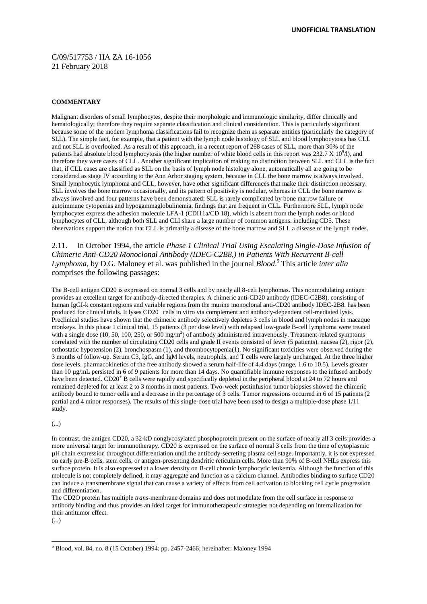#### **COMMENTARY**

Malignant disorders of small lymphocytes, despite their morphologic and immunologic similarity, differ clinically and hematologically; therefore they require separate classification and clinical consideration. This is particularly significant because some of the modem lymphoma classifications fail to recognize them as separate entities (particularly the category of SLL). The simple fact, for example, that a patient with the lymph node histology of SLL and blood lymphocytosis has CLL and not SLL is overlooked. As a result of this approach, in a recent report of 268 cases of SLL, more than 30% of the patients had absolute blood lymphocytosis (the higher number of white blood cells in this report was  $232.7 \times 10^9$ /l), and therefore they were cases of CLL. Another significant implication of making no distinction between SLL and CLL is the fact that, if CLL cases are classified as SLL on the basis of lymph node histology alone, automatically all are going to be considered as stage IV according to the Ann Arbor staging system, because in CLL the bone marrow is always involved. Small lymphocytic lymphoma and CLL, however, have other significant differences that make their distinction necessary. SLL involves the bone marrow occasionally, and its pattern of positivity is nodular, whereas in CLL the bone marrow is always involved and four patterns have been demonstrated; SLL is rarely complicated by bone marrow failure or autoimmune cytopenias and hypogammaglobulinemia, findings that are frequent in CLL. Furthermore SLL, lymph node lymphocytes express the adhesion molecule LFA-1 (CDI11a/CD 18), which is absent from the lymph nodes or blood lymphocytes of CLL, although both SLL and CLI share a large number of common antigens. including CD5. These observations support the notion that CLL is primarily a disease of the bone marrow and SLL a disease of the lymph nodes.

2.11. In October 1994, the article *Phase 1 Clinical Trial Using Escalating Single-Dose Infusion of Chimeric Anti-CD20 Monoclonal Antibody (IDEC-C2B8,) in Patients With Recurrent B-cell Lymphoma*, by D.G. Maloney et al. was published in the journal *Blood*. <sup>5</sup> This article *inter alia*  comprises the following passages:

The B-cell antigen CD20 is expressed on normal 3 cells and by nearly all 8-celi lymphomas. This nonmodulating antigen provides an excellent target for antibody-directed therapies. A chimeric anti-CD20 antibody (IDEC-C2B8), consisting of human IgGI-k constant regions and variable regions from the murine monoclonal anti-CD20 antibody IDEC-2B8. has been produced for clinical trials. It lyses CD20<sup>+</sup> cells in vitro via complement and antibody-dependent cell-mediated lysis. Preclinical studies have shown that the chimeric antibody selectively depletes 3 cells in blood and lymph nodes in macaque monkeys. In this phase 1 clinical trial, 15 patients (3 per dose level) with relapsed low-grade B-cell lymphoma were treated with a single dose (10, 50, 100, 250, or 500 mg/m<sup>2</sup>) of antibody administered intravenously. Treatment-related symptoms correlated with the number of circulating CD20 cells and grade II events consisted of fever (5 patients). nausea (2), rigor (2), orthostatic hypotension (2), bronchospasm (1), and thrombocytopenia(1). No significant toxicities were observed during the 3 months of follow-up. Serum C3, IgG, and IgM levels, neutrophils, and T cells were largely unchanged. At the three higher dose levels. pharmacokinetics of the free antibody showed a serum half-life of 4.4 days (range, 1.6 to 10.5). Levels greater than 10 µg/mL persisted in 6 of 9 patients for more than 14 days. No quantifiable immune responses to the infused antibody have been detected. CD20<sup>+</sup> B cells were rapidly and specifically depleted in the peripheral blood at 24 to 72 hours and remained depleted for at least 2 to 3 months in most patients. Two-week postinfusion tumor biopsies showed the chimeric antibody bound to tumor cells and a decrease in the percentage of 3 cells. Tumor regressions occurred in 6 of 15 patients (2 partial and 4 minor responses). The results of this single-dose trial have been used to design a multiple-dose phase 1/11 study.

#### (...)

In contrast, the antigen CD20, a 32-kD nonglycosylated phosphoprotein present on the surface of nearly all 3 ceils provides a more universal target for immunotherapy. CD20 is expressed on the surface of normal 3 cells from the time of cytoplasmic µH chain expression throughout differentiation until the antibody-secreting plasma cell stage. Importantly, it is not expressed on early pre-B cells, stem cells, or antigen-presenting dendritic reticulum cells. More than 90% of B-cell NHLs express this surface protein. It is also expressed at a lower density on B-cell chronic lymphocytic leukemia. Although the function of this molecule is not completely defined, it may aggregate and function as a calcium channel. Antibodies binding to surface CD20 can induce a transmembrane signal that can cause a variety of effects from cell activation to blocking cell cycle progression and differentiation.

The CD2O protein has multiple *trans*-membrane domains and does not modulate from the cell surface in response to antibody binding and thus provides an ideal target for immunotherapeutic strategies not depending on internalization for their antitumor effect.

<sup>(...)</sup>

<sup>5</sup> Blood, vol. 84, no. 8 (15 October) 1994: pp. 2457-2466; hereinafter: Maloney 1994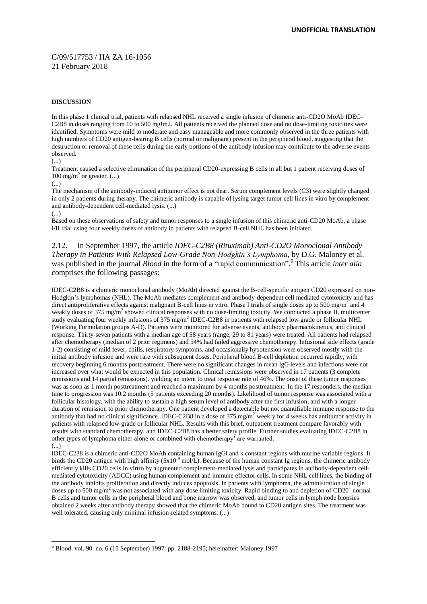#### **DISCUSSION**

In this phase 1 clinical trial, patients with relapsed NHL received a single infusion of chimeric anti-CD2O MoAb IDEC-C2B8 in doses ranging from 10 to 500 mg!m2. All patients received the planned dose and no dose-limiting toxicities were identified. Symptoms were mild to moderate and easy manageable and more commonly observed in the three patients with high numbers of CD20 antigen-bearing B cells (normal or malignant) present in the peripheral blood, suggesting that the destruction or removal of these cells during the early portions of the antibody infusion may contribute to the adverse events observed.

(...)

Treatment caused a selective elimination of the peripheral CD20-expressing B cells in all but 1 patient receiving doses of 100 mg/m<sup>2</sup> or greater.  $(...)$ 

(...)

The mechanism of the antibody-induced antitumor effect is not dear. Serum complement levels (C3) were slightly changed in only 2 patients during therapy. The chimeric antibody is capable of lysing target tumor cell lines in vitro by complement and antibody-dependent cell-mediated lysis. (...)

(...)

Based on these observations of safety and tumor responses to a single infusion of this chimeric anti-CD20 MoAb, a phase I/II trial using four weekly doses of antibody in patients with relapsed B-cell NHL has been initiated.

2.12. In September 1997, the article *IDEC-C2B8 (Rituximab) Anti-CD2O Monoclonal Antibody Therapy in Patients With Relapsed Low-Grade Non-Hodgkin's Lymphoma*, by D.G. Maloney et al. was published in the journal *Blood* in the form of a "rapid communication". <sup>6</sup> This article *inter alia*  comprises the following passages:

IDEC-C2B8 is a chimeric monoclonal antibody (MoAb) directed against the B-cell-specific antigen CD20 expressed on non-Hodgkin's lymphomas (NHL). The MoAb mediates complement and antibody-dependent cell mediated cytotoxicity and has direct antiproliferative effects against malignant B-cell lines in vitro. Phase I trials of single doses up to 500 mg/m<sup>2</sup> and 4 weakly doses of 375 mg/m<sup>2</sup> showed clinical responses with no dose-limiting toxicity. We conducted a phase II, multicenter study evaluating four weekly infusions of 375 mg/m<sup>2</sup> IDEC-C2B8 in patients with relapsed low grade or follicular NHL (Working Formulation groups A-D). Patients were monitored for adverse events, antibody pharmacokinetics, and clinical response. Thirty-seven patients with a median age of 58 years (range, 29 to 81 years) were treated. All patients had relapsed after chemotherapy (median of 2 prior regimens) and 54% had failed aggressive chemotherapy. Infusional side effects (grade 1-2) consisting of mild fever, chills. respiratory symptoms. and occasionally hypotension were observed mostly with the initial antibody infusion and were rare with subsequent doses. Peripheral blood B-cell depletion occurred rapidly, with recovery beginning 6 months posttreatment. There were no significant changes in mean lgG levels and infections were not increased over what would be expected in this population. Clinical remissions were observed in 17 patients (3 complete remissions and 14 partial remissions). yielding an intent to treat response rate of 46%. The onset of these tumor responses was as soon as 1 month posttreatment and reached a maximum by 4 months posttreatment. In the 17 responders, the median time to progression was 10.2 months (5 patients exceeding 20 months). Likelihood of tumor response was associated with a follicular histology, with the ability to sustain a high serum level of antibody after the first infusion, and with a longer duration of remission to prior chemotherapy. One patient developed a detectable but not quantifiable immune response to the antibody that had no clinical significance. IDEC-C2B8 in a dose of 375 mg/m<sup>2</sup> weekly for 4 weeks has antitumor activity in patients with relapsed low-grade or follicular NHL. Results with this brief, outpatient treatment compare favorably with results with standard chemotherapy, and IDEC-C2B8 has a better safety profile. Further studies evaluating IDEC-C2B8 in other types of lymphoma either alone or combined with chemotherapy' are warranted. (...)

IDEC-C238 is a chimeric anti-CD2O MoAb containing human IgGl and k constant regions with murine variable regions. It binds the CD20 antigen with high affinity ( $5x10^{-9}$  mol/L). Because of the human constant Ig regions, the chimeric antibody efficiently kills CD20 cells in virtro by augmented complement-mediated lysis and participates in antibody-dependent cellmediated cytotoxicity (ADCC) using human complement and immune effector cells. In some NHL cell lines, the binding of the antibody inhibits proliferation and directly induces apoptosis. In patients with lymphoma, the administration of single doses up to 500 mg/m<sup>2</sup> was not associated with any dose limiting toxicity. Rapid binding to and depletion of CD20<sup>+</sup> normal B cells and tumor cells in the peripheral blood and bone marrow was observed, and tumor cells in lymph node biopsies obtained 2 weeks after antibody therapy showed that the chimeric MoAb bound to CD20 antigen sites. The treatment was well tolerated, causing only minimal infusion-related symptoms. (...)

<sup>-</sup><sup>6</sup> Blood. vol. 90. no. 6 (15 September) 1997: pp. 2188-2195; hereinafter: Maloney 1997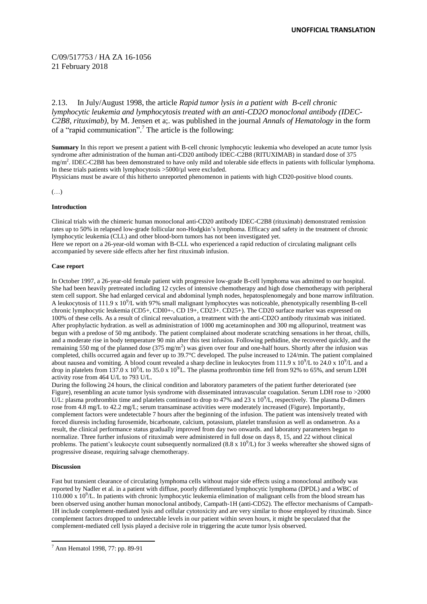2.13. In July/August 1998, the article *Rapid tumor lysis in a patient with B-cell chronic lymphocytic leukemia and lymphocytosis treated with an anti-CD2O monoclonal antibody (IDEC-C2B8, rituximab)*, by M. Jensen et a;. was published in the journal *Annals of Hematology* in the form of a "rapid communication". <sup>7</sup> The article is the following:

**Summary** In this report we present a patient with B-cell chronic lymphocytic leukemia who developed an acute tumor lysis syndrome after administration of the human anti-CD20 antibody IDEC-C2B8 (RITUXIMAB) in standard dose of 375 mg/m<sup>2</sup>. IDEC-C2B8 has been demonstrated to have only mild and tolerable side effects in patients with follicular lymphoma. In these trials patients with lymphocytosis  $>5000/\mu$ l were excluded.

Physicians must be aware of this hitherto unreported phenomenon in patients with high CD20-positive blood counts.

(…)

#### **Introduction**

Clinical trials with the chimeric human monoclonal anti-CD20 antibody IDEC-C2B8 (rituximab) demonstrated remission rates up to 50% in relapsed low-grade follicular non-Hodgkin's lymphoma. Efficacy and safety in the treatment of chronic lymphocytic leukemia (CLL) and other blood-born tumors has not been investigated yet.

Here we report on a 26-year-old woman with B-CLL who experienced a rapid reduction of circulating malignant cells accompanied by severe side effects after her first rituximab infusion.

#### **Case report**

In October 1997, a 26-year-old female patient with progressive low-grade B-cell lymphoma was admitted to our hospital. She had been heavily pretreated including 12 cycles of intensive chemotherapy and high dose chemotherapy with peripheral stem cell support. She had enlarged cervical and abdominal lymph nodes, hepatosplenomegaly and bone marrow infiltration. A leukocytosis of 111.9 x 10<sup>9</sup>/L with 97% small malignant lymphocytes was noticeable, phenotypically resembling B-cell chronic lymphocytic leukemia (CD5+, CDI0+-, CD 19+, CD23+. CD25+). The CD20 surface marker was expressed on 100% of these cells. As a result of clinical reevaluation, a treatment with the anti-CD2O antibody rituximab was initiated. After prophylactic hydration. as well as administration of 1000 mg acetaminophen and 300 mg allopurinol, treatment was begun with a predose of 50 mg antibody. The patient complained about moderate scratching sensations in her throat, chills, and a moderate rise in body temperature 90 min after this test infusion. Following pethidine, she recovered quickly, and the remaining 550 mg of the planned dose  $(375 \text{ mg/m}^2)$  was given over four and one-half hours. Shortly after the infusion was completed, chills occurred again and fever up to 39.7°C developed. The pulse increased to 124/min. The patient complained about nausea and vomiting. A blood count revealed a sharp decline in leukocytes from 111.9 x  $10^9/\text{L}$  to 24.0 x  $10^9/\text{L}$  and a drop in platelets from 137.0 x 10<sup>9</sup>/L to 35.0 x 10<sup>9</sup><sup>/</sup>L. The plasma prothrombin time fell from 92% to 65%, and serum LDH activity rose from 464 U/L to 793 U/L.

During the following 24 hours, the clinical condition and laboratory parameters of the patient further deteriorated (see Figure), resembling an acute tumor lysis syndrome with disseminated intravascular coagulation. Serum LDH rose to >2000 U/L: plasma prothrombin time and platelets continued to drop to 47% and 23 x  $10<sup>9</sup>/L$ , respectively. The plasma D-dimers rose from 4.8 mg/L to 42.2 mg/L; serum transaminase activities were moderately increased (Figure). Importantly, complement factors were undetectable 7 hours after the beginning of the infusion. The patient was intensively treated with forced diuresis including furosemide, bicarbonate, calcium, potassium, platelet transfusion as well as ondansetron. As a result, the clinical performance status gradually improved from day two onwards. and laboratory parameters began to normalize. Three further infusions of rituximab were administered in full dose on days 8, 15, and 22 without clinical problems. The patient's leukocyte count subsequently normalized  $(8.8 \times 10^9 L)$  for 3 weeks whereafter she showed signs of progressive disease, requiring salvage chemotherapy.

#### **Discussion**

Fast but transient clearance of circulating lymphoma cells without major side effects using a monoclonal antibody was reported by Nadler et al. in a patient with diffuse, poorly differentiated lymphocytic lymphoma (DPDL) and a WBC of  $110.000 \times 10^9$ /L. In patients with chronic lymphocytic leukemia elimination of malignant cells from the blood stream has been observed using another human monoclonal antibody, Campath-1H (anti-CD52). The effector mechanisms of Campath-1H include complement-mediated lysis and cellular cytotoxicity and are very similar to those employed by rituximab. Since complement factors dropped to undetectable levels in our patient within seven hours, it might be speculated that the complement-mediated cell lysis played a decisive role in triggering the acute tumor lysis observed.

<sup>-</sup><sup>7</sup> Ann Hematol 1998, 77: pp. 89-91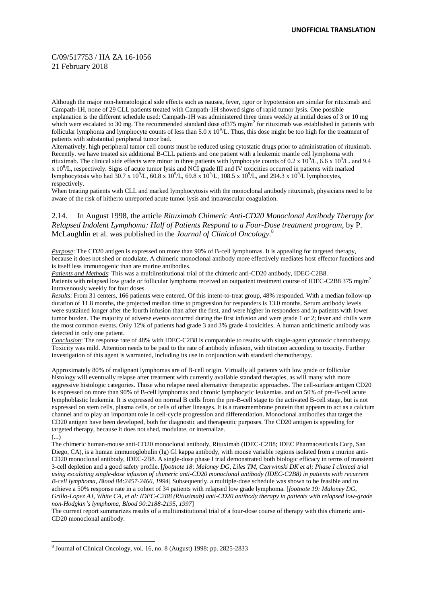Although the major non-hematological side effects such as nausea, fever, rigor or hypotension are similar for rituximab and Campath-1H, none of 29 CLL patients treated with Campath-1H showed signs of rapid tumor lysis. One possible explanation is the different schedule used: Campath-1H was administered three times weekly at initial doses of 3 or 10 mg which were escalated to 30 mg. The recommended standard dose of 375 mg/m<sup>2</sup> for rituximab was established in patients with follicular lymphoma and lymphocyte counts of less than  $5.0 \times 10^9$ /L. Thus, this dose might be too high for the treatment of patients with substantial peripheral tumor bad.

Alternatively, high peripheral tumor cell counts must be reduced using cytostatic drugs prior to administration of rituximab. Recently. we have treated six additional B-CLL patients and one patient with a leukemic mantle cell lymphoma with rituximab. The clinical side effects were minor in three patients with lymphocyte counts of 0.2 x  $10^9/L$ , 6.6 x  $10^9/L$ . and 9.4  $x$  10 $^9$ /L, respectively. Signs of acute tumor lysis and NCI grade III and IV toxicities occurred in patients with marked lymphocytosis who had  $30.7 \times 10^9$ /L,  $60.8 \times 10^9$ /L,  $69.8 \times 10^9$ /L,  $108.5 \times 10^9$ /L, and  $294.3 \times 10^9$ /L lymphocytes, respectively.

When treating patients with CLL and marked lymphocytosis with the monoclonal antibody rituximab, physicians need to be aware of the risk of hitherto unreported acute tumor lysis and intravascular coagulation.

## 2.14. In August 1998, the article *Rituximab Chimeric Anti-CD20 Monoclonal Antibody Therapy for Relapsed Indolent Lymphoma: Half of Patients Respond to a Four-Dose treatment program*, by P. McLaughlin et al. was published in the *Journal of Clinical Oncology.* 8

*Purpose*: The CD20 antigen is expressed on more than 90% of B-cell lymphomas. It is appealing for targeted therapy, because it does not shed or modulate. A chimeric monoclonal antibody more effectively mediates host effector functions and is itself less immunogenic than are murine antibodies.

*Patients and Methods*: This was a multiinstitutional trial of the chimeric anti-CD20 antibody, IDEC-C2B8. Patients with relapsed low grade or follicular lymphoma received an outpatient treatment course of IDEC-C2B8 375 mg/m<sup>2</sup> intravenously weekly for four doses.

*Results*: From 31 centers, 166 patients were entered. Of this intent-to-treat group, 48% responded. With a median follow-up duration of 11.8 months, the projected median time to progression for responders is 13.0 months. Serum antibody levels were sustained longer after the fourth infusion than after the first, and were higher in responders and in patients with lower tumor burden. The majority of adverse events occurred during the first infusion and were grade 1 or 2; fever and chills were the most common events. Only 12% of patients had grade 3 and 3% grade 4 toxicities. A human antichimeric antibody was detected in only one patient.

*Conclusion*: The response rate of 48% with IDEC-C2B8 is comparable to results with single-agent cytotoxic chemotherapy. Toxicity was mild. Attention needs to be paid to the rate of antibody infusion, with titration according to toxicity. Further investigation of this agent is warranted, including its use in conjunction with standard chemotherapy.

Approximately 80% of malignant lymphomas are of B-cell origin. Virtually all patients with low grade or follicular histology will eventually relapse after treatment with currently available standard therapies, as will many with more aggressive histologic categories. Those who relapse need alternative therapeutic approaches. The cell-surface antigen CD20 is expressed on more than 90% of B-cell lymphomas and chronic lymphocytic leukemias. and on 50% of pre-B-cell acute lymphoblastic leukemia. It is expressed on normal B cells from the pre-B-cell stage to the activated B-cell stage, but is not expressed on stem cells, plasma cells, or cells of other lineages. It is a transmembrane protein that appears to act as a calcium channel and to play an important role in cell-cycle progression and differentiation. Monoclonal antibodies that target the CD20 antigen have been developed, both for diagnostic and therapeutic purposes. The CD20 antigen is appealing for targeted therapy, because it does not shed, modulate, or internalize.

(...)

-

The chimeric human-mouse anti-CD20 monoclonal antibody, Rituximab (IDEC-C2B8; IDEC Pharmaceuticals Corp, San Diego, CA), is a human immunoglobulin (Ig) Gl kappa antibody, with mouse variable regions isolated from a murine anti-CD20 monoclonal antibody, IDEC-2B8. A single-dose phase I trial demonstrated both biologic efficacy in terms of transient 3-cell depletion and a good safety profile. [*footnote 18: Maloney DG, Liles TM, Czerwinski DK et al; Phase I clinical trial using escalating single-dose infusion of chimeric anti-CD20 monoclonal antibody (IDEC-C2B8) in patients with recurrent B-cell lymphoma, Blood 84:2457-2466, 1994*] Subsequently. a multiple-dose schedule was shown to be feasible and to achieve a 50% response rate in a cohort of 34 patients with relapsed low grade lymphoma. [*footnote 19: Maloney DG, Grillo-Lopez AJ, White CA, et al: IDEC-C2B8 (Rituximab) anti-CD20 antibody therapy in patients with relapsed low-grade non-Hodgkin's lymphoma, Blood 90:2188-2195, 1997*]

The current report summarizes results of a multiinstitutional trial of a four-dose course of therapy with this chimeric anti-CD20 monoclonal antibody.

<sup>8</sup> Journal of Clinical Oncology, vol. 16, no. 8 (August) 1998: pp. 2825-2833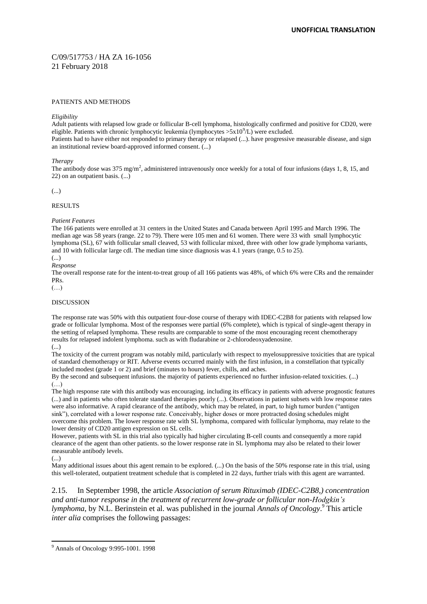#### PATIENTS AND METHODS

#### *Eligibility*

Adult patients with relapsed low grade or follicular B-cell lymphoma, histologically confirmed and positive for CD20, were eligible. Patients with chronic lymphocytic leukemia (lymphocytes  $>5x10^9$ /L) were excluded. Patients had to have either not responded to primary therapy or relapsed (...). have progressive measurable disease, and sign an institutional review board-approved informed consent. (...)

#### *Therapy*

The antibody dose was 375 mg/m<sup>2</sup>, administered intravenously once weekly for a total of four infusions (days 1, 8, 15, and 22) on an outpatient basis. (...)

(...)

#### RESULTS

#### *Patient Features*

The 166 patients were enrolled at 31 centers in the United States and Canada between April 1995 and March 1996. The median age was 58 years (range. 22 to 79). There were 105 men and 61 women. There were 33 with small lymphocytic lymphoma (SL), 67 with follicular small cleaved, 53 with follicular mixed, three with other low grade lymphoma variants, and 10 with follicular large cdl. The median time since diagnosis was 4.1 years (range, 0.5 to 25).

(...)

*Response*

The overall response rate for the intent-to-treat group of all 166 patients was 48%, of which 6% were CRs and the remainder PRs.

 $(\ldots)$ 

#### DISCUSSION

The response rate was 50% with this outpatient four-dose course of therapy with IDEC-C2B8 for patients with relapsed low grade or follicular lymphoma. Most of the responses were partial (6% complete), which is typical of single-agent therapy in the setting of relapsed lymphoma. These results are comparable to some of the most encouraging recent chemotherapy results for relapsed indolent lymphoma. such as with fludarabine or 2-chlorodeoxyadenosine.

(...)

The toxicity of the current program was notably mild, particularly with respect to myelosuppressive toxicities that are typical of standard chemotherapy or RIT. Adverse events occurred mainly with the first infusion, in a constellation that typically included modest (grade 1 or 2) and brief (minutes to hours) fever, chills, and aches.

By the second and subsequent infusions. the majority of patients experienced no further infusion-related toxicities. (...) (…)

The high response rate with this antibody was encouraging. including its efficacy in patients with adverse prognostic features (...) and in patients who often tolerate standard therapies poorly (...). Observations in patient subsets with low response rates were also informative. A rapid clearance of the antibody, which may be related, in part, to high tumor burden ("antigen sink"), correlated with a lower response rate. Conceivably, higher doses or more protracted dosing schedules might overcome this problem. The lower response rate with SL lymphoma, compared with follicular lymphoma, may relate to the lower density of CD20 antigen expression on SL cells.

However, patients with SL in this trial also typically had higher circulating B-cell counts and consequently a more rapid clearance of the agent than other patients. so the lower response rate in SL lymphoma may also be related to their lower measurable antibody levels.

(...)

Many additional issues about this agent remain to be explored. (...) On the basis of the 50% response rate in this trial, using this well-tolerated, outpatient treatment schedule that is completed in 22 days, further trials with this agent are warranted.

2.15. In September 1998, the article *Association of serum Rituximab (IDEC-C2B8,) concentration and anti-tumor response in the treatment of recurrent low-grade or follicular non-Hodgkin's lymphoma*, by N.L. Berinstein et al. was published in the journal *Annals of Oncology*. <sup>9</sup> This article *inter alia* comprises the following passages:

<sup>-</sup><sup>9</sup> Annals of Oncology 9:995-1001. 1998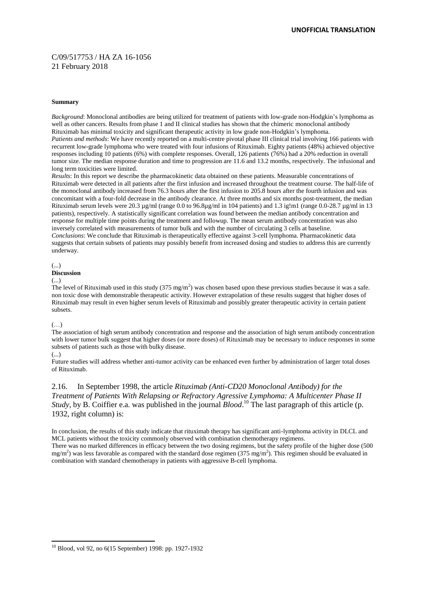#### **Summary**

*Background*: Monoclonal antibodies are being utilized for treatment of patients with low-grade non-Hodgkin's lymphoma as well as other cancers. Results from phase 1 and II clinical studies has shown that the chimeric monoclonal antibody Rituximab has minimal toxicity and significant therapeutic activity in low grade non-Hodgkin's lymphoma. *Patients and methods*: We have recently reported on a multi-centre pivotal phase III clinical trial involving 166 patients with recurrent low-grade lymphoma who were treated with four infusions of Rituximab. Eighty patients (48%) achieved objective responses including 10 patients (6%) with complete responses. Overall, 126 patients (76%) had a 20% reduction in overall tumor size. The median response duration and time to progression are 11.6 and 13.2 months, respectively. The infusional and long term toxicities were limited.

*Results*: In this report we describe the pharmacokinetic data obtained on these patients. Measurable concentrations of Rituximab were detected in all patients after the first infusion and increased throughout the treatment course. The half-life of the monoclonal antibody increased from 76.3 hours after the first infusion to 205.8 hours after the fourth infusion and was concomitant with a four-fold decrease in the antibody clearance. At three months and six months post-treatment, the median Rituximab serum levels were 20.3 µg/ml (range 0.0 to 96.8µg/ml in 104 patients) and 1.3 ig!m1 (range 0.0-28.7 µg/ml in 13 patients), respectively. A statistically significant correlation was found between the median antibody concentration and response for multiple time points during the treatment and followup. The mean serum antibody concentration was also inversely correlated with measurements of tumor bulk and with the number of circulating 3 cells at baseline. *Conclusions*: We conclude that Rituximab is therapeutically effective against 3-celI lymphoma. Pharmacokinetic data suggests that certain subsets of patients may possibly benefit from increased dosing and studies to address this are currently underway.

#### (...)

## **Discussion**

#### (...)

The level of Rituximab used in this study  $(375 \text{ mg/m}^2)$  was chosen based upon these previous studies because it was a safe. non toxic dose with demonstrable therapeutic activity. However extrapolation of these results suggest that higher doses of Rituximab may result in even higher serum levels of Rituximab and possibly greater therapeutic activity in certain patient subsets.

#### (…)

The association of high serum antibody concentration and response and the association of high serum antibody concentration with lower tumor bulk suggest that higher doses (or more doses) of Rituximab may be necessary to induce responses in some subsets of patients such as those with bulky disease.

#### (...)

-

Future studies will address whether anti-tumor activity can be enhanced even further by administration of larger total doses of Rituximab.

2.16. In September 1998, the article *Rituximab (Anti-CD20 Monoclonal Antibody) for the Treatment of Patients With Relapsing or Refractory Agressive Lymphoma: A Multicenter Phase II Study*, by B. Coiffier e.a. was published in the journal *Blood*. <sup>10</sup> The last paragraph of this article (p. 1932, right column) is:

In conclusion, the results of this study indicate that rituximab therapy has significant anti-lymphoma activity in DLCL and MCL patients without the toxicity commonly observed with combination chemotherapy regimens. There was no marked differences in efficacy between the two dosing regimens, but the safety profile of the higher dose (500  $mg/m<sup>2</sup>$ ) was less favorable as compared with the standard dose regimen (375 mg/m<sup>2</sup>). This regimen should be evaluated in combination with standard chemotherapy in patients with aggressive B-cell lymphoma.

<sup>10</sup> Blood, vol 92, no 6(15 September) 1998: pp. 1927-1932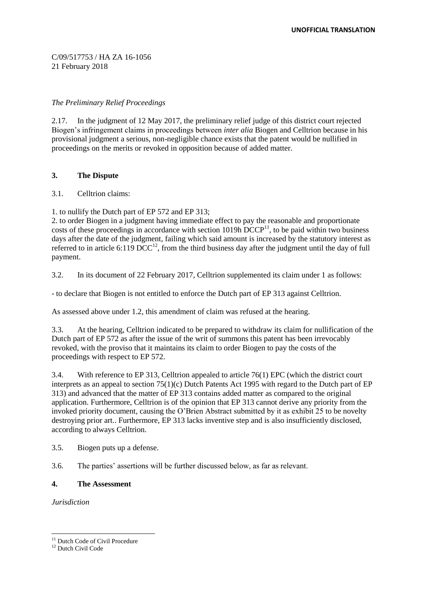## *The Preliminary Relief Proceedings*

2.17. In the judgment of 12 May 2017, the preliminary relief judge of this district court rejected Biogen's infringement claims in proceedings between *inter alia* Biogen and Celltrion because in his provisional judgment a serious, non-negligible chance exists that the patent would be nullified in proceedings on the merits or revoked in opposition because of added matter.

## **3. The Dispute**

## 3.1. Celltrion claims:

1. to nullify the Dutch part of EP 572 and EP 313;

2. to order Biogen in a judgment having immediate effect to pay the reasonable and proportionate costs of these proceedings in accordance with section 1019h  $\overrightarrow{D}CCP^{11}$ , to be paid within two business days after the date of the judgment, failing which said amount is increased by the statutory interest as referred to in article 6:119  $\overline{DCC}^{12}$ , from the third business day after the judgment until the day of full payment.

3.2. In its document of 22 February 2017, Celltrion supplemented its claim under 1 as follows:

- to declare that Biogen is not entitled to enforce the Dutch part of EP 313 against Celltrion.

As assessed above under 1.2, this amendment of claim was refused at the hearing.

3.3. At the hearing, Celltrion indicated to be prepared to withdraw its claim for nullification of the Dutch part of EP 572 as after the issue of the writ of summons this patent has been irrevocably revoked, with the proviso that it maintains its claim to order Biogen to pay the costs of the proceedings with respect to EP 572.

3.4. With reference to EP 313, Celltrion appealed to article 76(1) EPC (which the district court interprets as an appeal to section 75(1)(c) Dutch Patents Act 1995 with regard to the Dutch part of EP 313) and advanced that the matter of EP 313 contains added matter as compared to the original application. Furthermore, Celltrion is of the opinion that EP 313 cannot derive any priority from the invoked priority document, causing the O'Brien Abstract submitted by it as exhibit 25 to be novelty destroying prior art.. Furthermore, EP 313 lacks inventive step and is also insufficiently disclosed, according to always Celltrion.

3.5. Biogen puts up a defense.

3.6. The parties' assertions will be further discussed below, as far as relevant.

## **4. The Assessment**

*Jurisdiction*

<sup>&</sup>lt;sup>11</sup> Dutch Code of Civil Procedure

<sup>&</sup>lt;sup>12</sup> Dutch Civil Code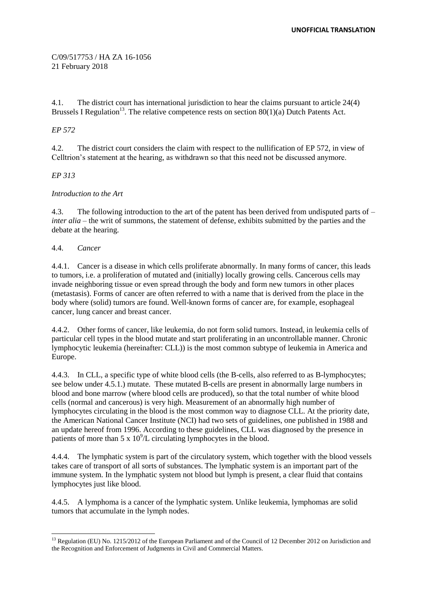4.1. The district court has international jurisdiction to hear the claims pursuant to article 24(4) Brussels I Regulation<sup>13</sup>. The relative competence rests on section  $80(1)(a)$  Dutch Patents Act.

## *EP 572*

4.2. The district court considers the claim with respect to the nullification of EP 572, in view of Celltrion's statement at the hearing, as withdrawn so that this need not be discussed anymore.

## *EP 313*

## *Introduction to the Art*

4.3. The following introduction to the art of the patent has been derived from undisputed parts of – *inter alia* – the writ of summons, the statement of defense, exhibits submitted by the parties and the debate at the hearing.

## 4.4. *Cancer*

4.4.1. Cancer is a disease in which cells proliferate abnormally. In many forms of cancer, this leads to tumors, i.e. a proliferation of mutated and (initially) locally growing cells. Cancerous cells may invade neighboring tissue or even spread through the body and form new tumors in other places (metastasis). Forms of cancer are often referred to with a name that is derived from the place in the body where (solid) tumors are found. Well-known forms of cancer are, for example, esophageal cancer, lung cancer and breast cancer.

4.4.2. Other forms of cancer, like leukemia, do not form solid tumors. Instead, in leukemia cells of particular cell types in the blood mutate and start proliferating in an uncontrollable manner. Chronic lymphocytic leukemia (hereinafter: CLL)) is the most common subtype of leukemia in America and Europe.

4.4.3. In CLL, a specific type of white blood cells (the B-cells, also referred to as B-lymphocytes; see below under 4.5.1.) mutate. These mutated B-cells are present in abnormally large numbers in blood and bone marrow (where blood cells are produced), so that the total number of white blood cells (normal and cancerous) is very high. Measurement of an abnormally high number of lymphocytes circulating in the blood is the most common way to diagnose CLL. At the priority date, the American National Cancer Institute (NCI) had two sets of guidelines, one published in 1988 and an update hereof from 1996. According to these guidelines, CLL was diagnosed by the presence in patients of more than  $5 \times 10^9$ /L circulating lymphocytes in the blood.

4.4.4. The lymphatic system is part of the circulatory system, which together with the blood vessels takes care of transport of all sorts of substances. The lymphatic system is an important part of the immune system. In the lymphatic system not blood but lymph is present, a clear fluid that contains lymphocytes just like blood.

4.4.5. A lymphoma is a cancer of the lymphatic system. Unlike leukemia, lymphomas are solid tumors that accumulate in the lymph nodes.

<sup>-</sup><sup>13</sup> Regulation (EU) No. 1215/2012 of the European Parliament and of the Council of 12 December 2012 on Jurisdiction and the Recognition and Enforcement of Judgments in Civil and Commercial Matters.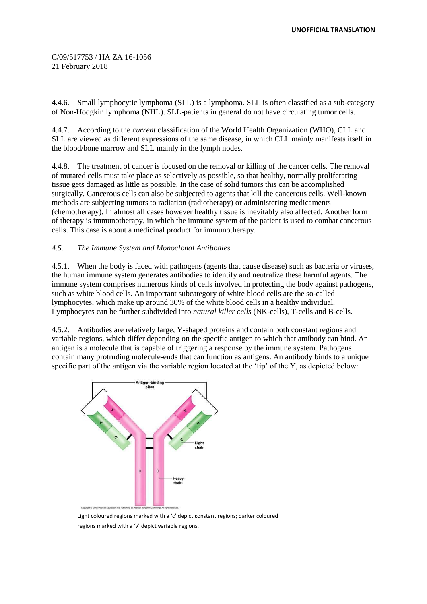4.4.6. Small lymphocytic lymphoma (SLL) is a lymphoma. SLL is often classified as a sub-category of Non-Hodgkin lymphoma (NHL). SLL-patients in general do not have circulating tumor cells.

4.4.7. According to the *current* classification of the World Health Organization (WHO), CLL and SLL are viewed as different expressions of the same disease, in which CLL mainly manifests itself in the blood/bone marrow and SLL mainly in the lymph nodes.

4.4.8. The treatment of cancer is focused on the removal or killing of the cancer cells. The removal of mutated cells must take place as selectively as possible, so that healthy, normally proliferating tissue gets damaged as little as possible. In the case of solid tumors this can be accomplished surgically. Cancerous cells can also be subjected to agents that kill the cancerous cells. Well-known methods are subjecting tumors to radiation (radiotherapy) or administering medicaments (chemotherapy). In almost all cases however healthy tissue is inevitably also affected. Another form of therapy is immunotherapy, in which the immune system of the patient is used to combat cancerous cells. This case is about a medicinal product for immunotherapy.

## *4.5. The Immune System and Monoclonal Antibodies*

4.5.1. When the body is faced with pathogens (agents that cause disease) such as bacteria or viruses, the human immune system generates antibodies to identify and neutralize these harmful agents. The immune system comprises numerous kinds of cells involved in protecting the body against pathogens, such as white blood cells. An important subcategory of white blood cells are the so-called lymphocytes, which make up around 30% of the white blood cells in a healthy individual. Lymphocytes can be further subdivided into *natural killer cells* (NK-cells), T-cells and B-cells.

4.5.2. Antibodies are relatively large, Y-shaped proteins and contain both constant regions and variable regions, which differ depending on the specific antigen to which that antibody can bind. An antigen is a molecule that is capable of triggering a response by the immune system. Pathogens contain many protruding molecule-ends that can function as antigens. An antibody binds to a unique specific part of the antigen via the variable region located at the 'tip' of the Y, as depicted below:



Light coloured regions marked with a 'c' depict **c**onstant regions; darker coloured regions marked with a 'v' depict **v**ariable regions.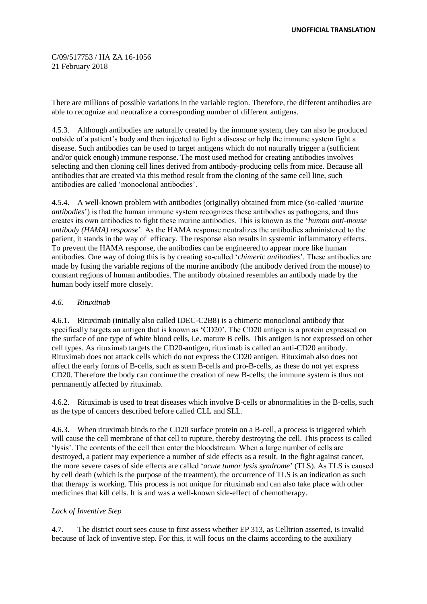There are millions of possible variations in the variable region. Therefore, the different antibodies are able to recognize and neutralize a corresponding number of different antigens.

4.5.3. Although antibodies are naturally created by the immune system, they can also be produced outside of a patient's body and then injected to fight a disease or help the immune system fight a disease. Such antibodies can be used to target antigens which do not naturally trigger a (sufficient and/or quick enough) immune response. The most used method for creating antibodies involves selecting and then cloning cell lines derived from antibody-producing cells from mice. Because all antibodies that are created via this method result from the cloning of the same cell line, such antibodies are called 'monoclonal antibodies'.

4.5.4. A well-known problem with antibodies (originally) obtained from mice (so-called '*murine antibodies*') is that the human immune system recognizes these antibodies as pathogens, and thus creates its own antibodies to fight these murine antibodies. This is known as the '*human anti-mouse antibody (HAMA) response*'. As the HAMA response neutralizes the antibodies administered to the patient, it stands in the way of efficacy. The response also results in systemic inflammatory effects. To prevent the HAMA response, the antibodies can be engineered to appear more like human antibodies. One way of doing this is by creating so-called '*chimeric antibodies*'. These antibodies are made by fusing the variable regions of the murine antibody (the antibody derived from the mouse) to constant regions of human antibodies. The antibody obtained resembles an antibody made by the human body itself more closely.

## *4.6. Rituxitnab*

4.6.1. Rituximab (initially also called IDEC-C2B8) is a chimeric monoclonal antibody that specifically targets an antigen that is known as 'CD20'. The CD20 antigen is a protein expressed on the surface of one type of white blood cells, i.e. mature B cells. This antigen is not expressed on other cell types. As rituximab targets the CD20-antigen, rituximab is called an anti-CD20 antibody. Rituximab does not attack cells which do not express the CD20 antigen. Rituximab also does not affect the early forms of B-cells, such as stem B-cells and pro-B-cells, as these do not yet express CD20. Therefore the body can continue the creation of new B-cells; the immune system is thus not permanently affected by rituximab.

4.6.2. Rituximab is used to treat diseases which involve B-cells or abnormalities in the B-cells, such as the type of cancers described before called CLL and SLL.

4.6.3. When rituximab binds to the CD20 surface protein on a B-cell, a process is triggered which will cause the cell membrane of that cell to rupture, thereby destroying the cell. This process is called 'lysis'. The contents of the cell then enter the bloodstream. When a large number of cells are destroyed, a patient may experience a number of side effects as a result. In the fight against cancer, the more severe cases of side effects are called '*acute tumor lysis syndrome*' (TLS). As TLS is caused by cell death (which is the purpose of the treatment), the occurrence of TLS is an indication as such that therapy is working. This process is not unique for rituximab and can also take place with other medicines that kill cells. It is and was a well-known side-effect of chemotherapy.

## *Lack of Inventive Step*

4.7. The district court sees cause to first assess whether EP 313, as Celltrion asserted, is invalid because of lack of inventive step. For this, it will focus on the claims according to the auxiliary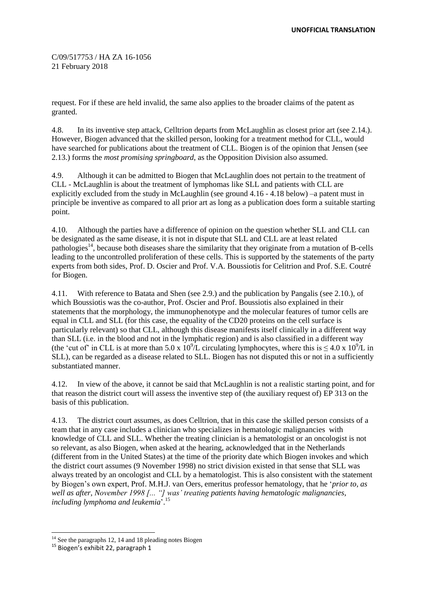request. For if these are held invalid, the same also applies to the broader claims of the patent as granted.

4.8. In its inventive step attack, Celltrion departs from McLaughlin as closest prior art (see 2.14.). However, Biogen advanced that the skilled person, looking for a treatment method for CLL, would have searched for publications about the treatment of CLL. Biogen is of the opinion that Jensen (see 2.13.) forms the *most promising springboard*, as the Opposition Division also assumed.

4.9. Although it can be admitted to Biogen that McLaughlin does not pertain to the treatment of CLL - McLaughlin is about the treatment of lymphomas like SLL and patients with CLL are explicitly excluded from the study in McLaughlin (see ground  $4.16 - 4.18$  below) –a patent must in principle be inventive as compared to all prior art as long as a publication does form a suitable starting point.

4.10. Although the parties have a difference of opinion on the question whether SLL and CLL can be designated as the same disease, it is not in dispute that SLL and CLL are at least related pathologies<sup>14</sup>, because both diseases share the similarity that they originate from a mutation of B-cells leading to the uncontrolled proliferation of these cells. This is supported by the statements of the party experts from both sides, Prof. D. Oscier and Prof. V.A. Boussiotis for Celitrion and Prof. S.E. Coutré for Biogen.

4.11. With reference to Batata and Shen (see 2.9.) and the publication by Pangalis (see 2.10.), of which Boussiotis was the co-author, Prof. Oscier and Prof. Boussiotis also explained in their statements that the morphology, the immunophenotype and the molecular features of tumor cells are equal in CLL and SLL (for this case, the equality of the CD20 proteins on the cell surface is particularly relevant) so that CLL, although this disease manifests itself clinically in a different way than SLL (i.e. in the blood and not in the lymphatic region) and is also classified in a different way (the 'cut of' in CLL is at more than 5.0 x  $10^9$ /L circulating lymphocytes, where this is  $\leq 4.0$  x  $10^9$ /L in SLL), can be regarded as a disease related to SLL. Biogen has not disputed this or not in a sufficiently substantiated manner.

4.12. In view of the above, it cannot be said that McLaughlin is not a realistic starting point, and for that reason the district court will assess the inventive step of (the auxiliary request of) EP 313 on the basis of this publication.

4.13. The district court assumes, as does Celltrion, that in this case the skilled person consists of a team that in any case includes a clinician who specializes in hematologic malignancies with knowledge of CLL and SLL. Whether the treating clinician is a hematologist or an oncologist is not so relevant, as also Biogen, when asked at the hearing, acknowledged that in the Netherlands (different from in the United States) at the time of the priority date which Biogen invokes and which the district court assumes (9 November 1998) no strict division existed in that sense that SLL was always treated by an oncologist and CLL by a hematologist. This is also consistent with the statement by Biogen's own expert, Prof. M.H.J. van Oers, emeritus professor hematology, that he '*prior to, as well as after, November 1998 [... "] was' treating patients having hematologic malignancies, including lymphoma and leukemia*'. 15

 $14$  See the paragraphs 12, 14 and 18 pleading notes Biogen

<sup>&</sup>lt;sup>15</sup> Biogen's exhibit 22, paragraph 1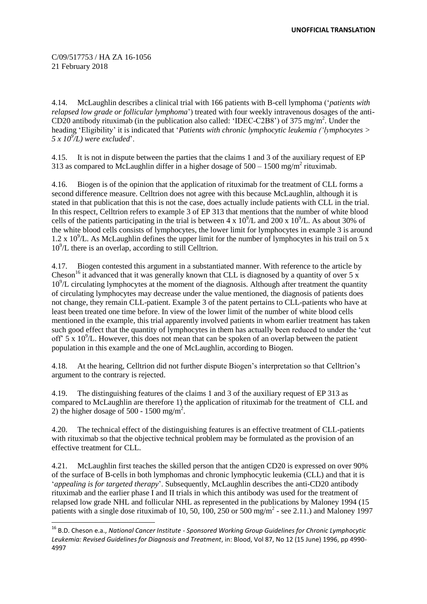-

4.14. McLaughlin describes a clinical trial with 166 patients with B-cell lymphoma ('*patients with relapsed low grade or follicular lymphoma*') treated with four weekly intravenous dosages of the anti-CD20 antibody rituximab (in the publication also called: 'IDEC-C2B8') of 375 mg/m<sup>2</sup>. Under the heading 'Eligibility' it is indicated that '*Patients with chronic lymphocytic leukemia ('lymphocytes > 5 x 10<sup>9</sup> /L) were excluded*'.

4.15. It is not in dispute between the parties that the claims 1 and 3 of the auxiliary request of EP 313 as compared to McLaughlin differ in a higher dosage of  $500 - 1500$  mg/m<sup>2</sup> rituximab.

4.16. Biogen is of the opinion that the application of rituximab for the treatment of CLL forms a second difference measure. Celltrion does not agree with this because McLaughlin, although it is stated in that publication that this is not the case, does actually include patients with CLL in the trial. In this respect, Celltrion refers to example 3 of EP 313 that mentions that the number of white blood cells of the patients participating in the trial is between 4 x  $10^9$ /L and 200 x  $10^9$ /L. As about 30% of the white blood cells consists of lymphocytes, the lower limit for lymphocytes in example 3 is around 1.2 x  $10^9$ /L. As McLaughlin defines the upper limit for the number of lymphocytes in his trail on 5 x 10<sup>9</sup>/L there is an overlap, according to still Celltrion.

4.17. Biogen contested this argument in a substantiated manner. With reference to the article by Cheson<sup>16</sup> it advanced that it was generally known that CLL is diagnosed by a quantity of over 5 x 10<sup>9</sup>/L circulating lymphocytes at the moment of the diagnosis. Although after treatment the quantity of circulating lymphocytes may decrease under the value mentioned, the diagnosis of patients does not change, they remain CLL-patient. Example 3 of the patent pertains to CLL-patients who have at least been treated one time before. In view of the lower limit of the number of white blood cells mentioned in the example, this trial apparently involved patients in whom earlier treatment has taken such good effect that the quantity of lymphocytes in them has actually been reduced to under the 'cut off'  $5 \times 10^9$ /L. However, this does not mean that can be spoken of an overlap between the patient population in this example and the one of McLaughlin, according to Biogen.

4.18. At the hearing, Celltrion did not further dispute Biogen's interpretation so that Celltrion's argument to the contrary is rejected.

4.19. The distinguishing features of the claims 1 and 3 of the auxiliary request of EP 313 as compared to McLaughlin are therefore 1) the application of rituximab for the treatment of CLL and 2) the higher dosage of 500 - 1500 mg/m<sup>2</sup>.

4.20. The technical effect of the distinguishing features is an effective treatment of CLL-patients with rituximab so that the objective technical problem may be formulated as the provision of an effective treatment for CLL.

4.21. McLaughlin first teaches the skilled person that the antigen CD20 is expressed on over 90% of the surface of B-cells in both lymphomas and chronic lymphocytic leukemia (CLL) and that it is '*appealing is for targeted therapy*'. Subsequently, McLaughlin describes the anti-CD20 antibody rituximab and the earlier phase I and II trials in which this antibody was used for the treatment of relapsed low grade NHL and follicular NHL as represented in the publications by Maloney 1994 (15 patients with a single dose rituximab of 10, 50, 100, 250 or 500 mg/m<sup>2</sup> - see 2.11.) and Maloney 1997

<sup>16</sup> B.D. Cheson e.a., *National Cancer Institute - Sponsored Working Group Guidelines for Chronic Lymphocytic Leukemia: Revised Guidelines for Diagnosis and Treatment*, in: Blood, Vol 87, No 12 (15 June) 1996, pp 4990- 4997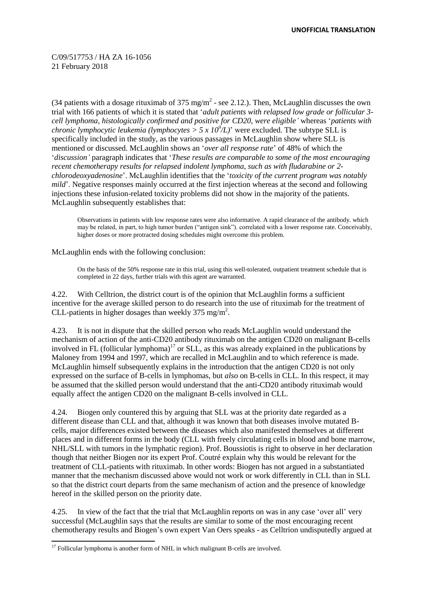(34 patients with a dosage rituximab of 375 mg/m<sup>2</sup> - see 2.12.). Then, McLaughlin discusses the own trial with 166 patients of which it is stated that '*adult patients with relapsed low grade or follicular 3 cell lymphoma, histologically confirmed and positive for CD20, were eligible'* whereas '*patients with chronic lymphocytic leukemia (lymphocytes >*  $5 \times 10^9$ */L)' were excluded. The subtype SLL is* specifically included in the study, as the various passages in McLaughlin show where SLL is mentioned or discussed. McLaughlin shows an '*over all response rate*' of 48% of which the '*discussion'* paragraph indicates that '*These results are comparable to some of the most encouraging recent chemotherapy results for relapsed indolent lymphoma, such as with fludarabine or 2chlorodeoxyadenosine*'. McLaughlin identifies that the '*toxicity of the current program was notably mild*'. Negative responses mainly occurred at the first injection whereas at the second and following injections these infusion-related toxicity problems did not show in the majority of the patients. McLaughlin subsequently establishes that:

Observations in patients with low response rates were also informative. A rapid clearance of the antibody. which may be related, in part, to high tumor burden ("antigen sink"). correlated with a lower response rate. Conceivably, higher doses or more protracted dosing schedules might overcome this problem.

McLaughlin ends with the following conclusion:

On the basis of the 50% response rate in this trial, using this well-tolerated, outpatient treatment schedule that is completed in 22 days, further trials with this agent are warranted.

4.22. With Celltrion, the district court is of the opinion that McLaughlin forms a sufficient incentive for the average skilled person to do research into the use of rituximab for the treatment of CLL-patients in higher dosages than weekly 375 mg/m<sup>2</sup>.

4.23. It is not in dispute that the skilled person who reads McLaughlin would understand the mechanism of action of the anti-CD20 antibody rituximab on the antigen CD20 on malignant B-cells involved in FL (follicular lymphoma) <sup>17</sup> or SLL, as this was already explained in the publications by Maloney from 1994 and 1997, which are recalled in McLaughlin and to which reference is made. McLaughlin himself subsequently explains in the introduction that the antigen CD20 is not only expressed on the surface of B-cells in lymphomas, but *also* on B-cells in CLL. In this respect, it may be assumed that the skilled person would understand that the anti-CD20 antibody rituximab would equally affect the antigen CD20 on the malignant B-cells involved in CLL.

4.24. Biogen only countered this by arguing that SLL was at the priority date regarded as a different disease than CLL and that, although it was known that both diseases involve mutated Bcells, major differences existed between the diseases which also manifested themselves at different places and in different forms in the body (CLL with freely circulating cells in blood and bone marrow, NHL/SLL with tumors in the lymphatic region). Prof. Boussiotis is right to observe in her declaration though that neither Biogen nor its expert Prof. Coutré explain why this would be relevant for the treatment of CLL-patients with rituximab. In other words: Biogen has not argued in a substantiated manner that the mechanism discussed above would not work or work differently in CLL than in SLL so that the district court departs from the same mechanism of action and the presence of knowledge hereof in the skilled person on the priority date.

4.25. In view of the fact that the trial that McLaughlin reports on was in any case 'over all' very successful (McLaughlin says that the results are similar to some of the most encouraging recent chemotherapy results and Biogen's own expert Van Oers speaks - as Celltrion undisputedly argued at

<sup>&</sup>lt;sup>17</sup> Follicular lymphoma is another form of NHL in which malignant B-cells are involved.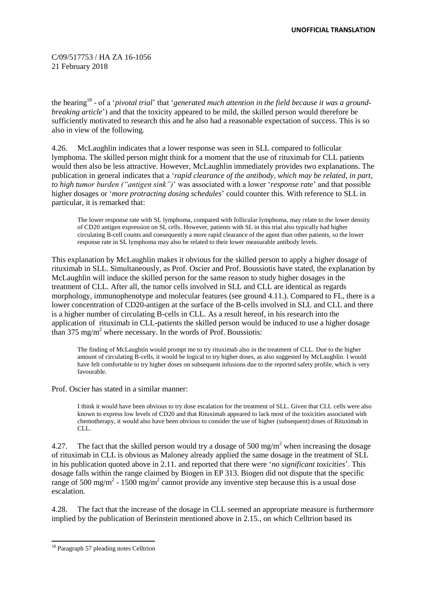the hearing<sup>18</sup> - of a *'pivotal trial'* that 'generated much attention in the field because it was a ground*breaking article*') and that the toxicity appeared to be mild, the skilled person would therefore be sufficiently motivated to research this and he also had a reasonable expectation of success. This is so also in view of the following.

4.26. McLaughlin indicates that a lower response was seen in SLL compared to follicular lymphoma. The skilled person might think for a moment that the use of rituximab for CLL patients would then also be less attractive. However, McLaughlin immediately provides two explanations. The publication in general indicates that a '*rapid clearance of the antibody, which may be related, in part, to high tumor burden ("antigen sink")*' was associated with a lower '*response rate*' and that possible higher dosages or '*more protracting dosing schedules*' could counter this. With reference to SLL in particular, it is remarked that:

The lower response rate with SL lymphoma, compared with follicular lymphoma, may relate to the lower density of CD20 antigen expression on SL cells. However, patients with SL in this trial also typically had higher circulating B-cell counts and consequently a more rapid clearance of the agent than other patients, so the lower response rate in SL lymphoma may also be related to their lower measurable antibody levels.

This explanation by McLaughlin makes it obvious for the skilled person to apply a higher dosage of rituximab in SLL. Simultaneously, as Prof. Oscier and Prof. Boussiotis have stated, the explanation by McLaughlin will induce the skilled person for the same reason to study higher dosages in the treatment of CLL. After all, the tumor cells involved in SLL and CLL are identical as regards morphology, immunophenotype and molecular features (see ground 4.11.). Compared to FL, there is a lower concentration of CD20-antigen at the surface of the B-cells involved in SLL and CLL and there is a higher number of circulating B-cells in CLL. As a result hereof, in his research into the application of rituximab in CLL-patients the skilled person would be induced to use a higher dosage than 375 mg/m<sup>2</sup> where necessary. In the words of Prof. Boussiotis:

The finding of McLaughtin would prompt me to try rituximab also in the treatment of CLL. Due to the higher amount of circulating B-cells, it would be logical to try higher doses, as also suggested by McLaughlin. I would have felt comfortable to try higher doses on subsequent infusions due to the reported safety profile, which is very favourable.

Prof. Oscier has stated in a similar manner:

I think it would have been obvious to try dose escalation for the treatment of SLL. Given that CLL cells were also known to express low levels of CD20 and that Rituximab appeared to lack most of the toxicities associated with chemotherapy, it would also have been obvious to consider the use of higher (subsequent) doses of Rituximab in CLL.

4.27. The fact that the skilled person would try a dosage of 500 mg/m<sup>2</sup> when increasing the dosage of rituximab in CLL is obvious as Maloney already applied the same dosage in the treatment of SLL in his publication quoted above in 2.11. and reported that there were '*no significant toxicities*'. This dosage falls within the range claimed by Biogen in EP 313. Biogen did not dispute that the specific range of 500 mg/m<sup>2</sup> - 1500 mg/m<sup>2</sup> cannot provide any inventive step because this is a usual dose escalation.

4.28. The fact that the increase of the dosage in CLL seemed an appropriate measure is furthermore implied by the publication of Berinstein mentioned above in 2.15., on which Celltrion based its

<sup>&</sup>lt;sup>18</sup> Paragraph 57 pleading notes Celltrion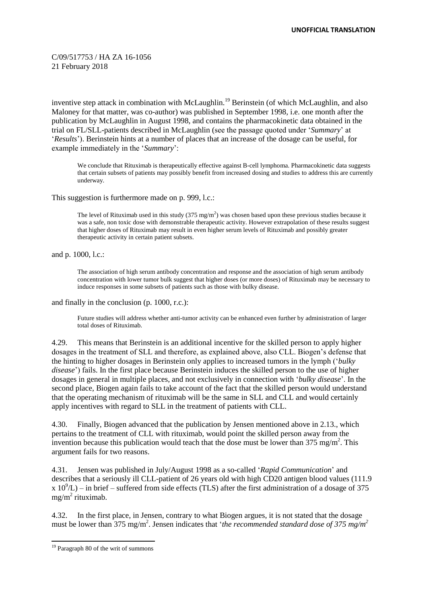inventive step attack in combination with McLaughlin.<sup>19</sup> Berinstein (of which McLaughlin, and also Maloney for that matter, was co-author) was published in September 1998, i.e. one month after the publication by McLaughlin in August 1998, and contains the pharmacokinetic data obtained in the trial on FL/SLL-patients described in McLaughlin (see the passage quoted under '*Summary*' at '*Results*'). Berinstein hints at a number of places that an increase of the dosage can be useful, for example immediately in the '*Summary*':

We conclude that Rituximab is therapeutically effective against B-cell lymphoma. Pharmacokinetic data suggests that certain subsets of patients may possibly benefit from increased dosing and studies to address this are currently underway.

This suggestion is furthermore made on p. 999, l.c.:

The level of Rituximab used in this study  $(375 \text{ mg/m}^2)$  was chosen based upon these previous studies because it was a safe, non toxic dose with demonstrable therapeutic activity. However extrapolation of these results suggest that higher doses of Rituximab may result in even higher serum levels of Rituximab and possibly greater therapeutic activity in certain patient subsets.

and p. 1000, l.c.:

The association of high serum antibody concentration and response and the association of high serum antibody concentration with lower tumor bulk suggest that higher doses (or more doses) of Rituximab may be necessary to induce responses in some subsets of patients such as those with bulky disease.

and finally in the conclusion (p. 1000, r.c.):

Future studies will address whether anti-tumor activity can be enhanced even further by administration of larger total doses of Rituximab.

4.29. This means that Berinstein is an additional incentive for the skilled person to apply higher dosages in the treatment of SLL and therefore, as explained above, also CLL. Biogen's defense that the hinting to higher dosages in Berinstein only applies to increased tumors in the lymph ('*bulky disease*') fails. In the first place because Berinstein induces the skilled person to the use of higher dosages in general in multiple places, and not exclusively in connection with '*bulky disease*'. In the second place, Biogen again fails to take account of the fact that the skilled person would understand that the operating mechanism of rituximab will be the same in SLL and CLL and would certainly apply incentives with regard to SLL in the treatment of patients with CLL.

4.30. Finally, Biogen advanced that the publication by Jensen mentioned above in 2.13., which pertains to the treatment of CLL with rituximab, would point the skilled person away from the invention because this publication would teach that the dose must be lower than  $375 \text{ mg/m}^2$ . This argument fails for two reasons.

4.31. Jensen was published in July/August 1998 as a so-called '*Rapid Communication*' and describes that a seriously ill CLL-patient of 26 years old with high CD20 antigen blood values (111.9  $x 10^9$ /L) – in brief – suffered from side effects (TLS) after the first administration of a dosage of 375 mg/m<sup>2</sup> rituximab.

4.32. In the first place, in Jensen, contrary to what Biogen argues, it is not stated that the dosage must be lower than 375 mg/m<sup>2</sup>. Jensen indicates that '*the recommended standard dose of 375 mg/m<sup>2</sup>* 

<sup>-</sup><sup>19</sup> Paragraph 80 of the writ of summons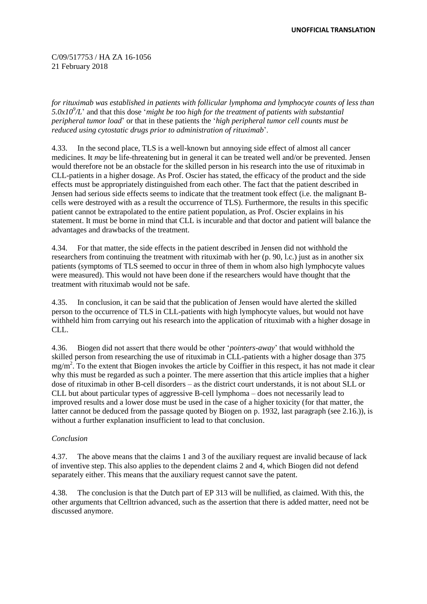*for rituximab was established in patients with follicular lymphoma and lymphocyte counts of less than 5.0x10<sup>9</sup> /L*' and that this dose '*might be too high for the treatment of patients with substantial peripheral tumor load*' or that in these patients the '*high peripheral tumor cell counts must be reduced using cytostatic drugs prior to administration of rituximab*'.

4.33. In the second place, TLS is a well-known but annoying side effect of almost all cancer medicines. It *may* be life-threatening but in general it can be treated well and/or be prevented. Jensen would therefore not be an obstacle for the skilled person in his research into the use of rituximab in CLL-patients in a higher dosage. As Prof. Oscier has stated, the efficacy of the product and the side effects must be appropriately distinguished from each other. The fact that the patient described in Jensen had serious side effects seems to indicate that the treatment took effect (i.e. the malignant Bcells were destroyed with as a result the occurrence of TLS). Furthermore, the results in this specific patient cannot be extrapolated to the entire patient population, as Prof. Oscier explains in his statement. It must be borne in mind that CLL is incurable and that doctor and patient will balance the advantages and drawbacks of the treatment.

4.34. For that matter, the side effects in the patient described in Jensen did not withhold the researchers from continuing the treatment with rituximab with her (p. 90, l.c.) just as in another six patients (symptoms of TLS seemed to occur in three of them in whom also high lymphocyte values were measured). This would not have been done if the researchers would have thought that the treatment with rituximab would not be safe.

4.35. In conclusion, it can be said that the publication of Jensen would have alerted the skilled person to the occurrence of TLS in CLL-patients with high lymphocyte values, but would not have withheld him from carrying out his research into the application of rituximab with a higher dosage in CLL.

4.36. Biogen did not assert that there would be other '*pointers-away*' that would withhold the skilled person from researching the use of rituximab in CLL-patients with a higher dosage than 375 mg/m<sup>2</sup>. To the extent that Biogen invokes the article by Coiffier in this respect, it has not made it clear why this must be regarded as such a pointer. The mere assertion that this article implies that a higher dose of rituximab in other B-cell disorders – as the district court understands, it is not about SLL or CLL but about particular types of aggressive B-cell lymphoma – does not necessarily lead to improved results and a lower dose must be used in the case of a higher toxicity (for that matter, the latter cannot be deduced from the passage quoted by Biogen on p. 1932, last paragraph (see 2.16.)), is without a further explanation insufficient to lead to that conclusion.

## *Conclusion*

4.37. The above means that the claims 1 and 3 of the auxiliary request are invalid because of lack of inventive step. This also applies to the dependent claims 2 and 4, which Biogen did not defend separately either. This means that the auxiliary request cannot save the patent.

4.38. The conclusion is that the Dutch part of EP 313 will be nullified, as claimed. With this, the other arguments that Celltrion advanced, such as the assertion that there is added matter, need not be discussed anymore.